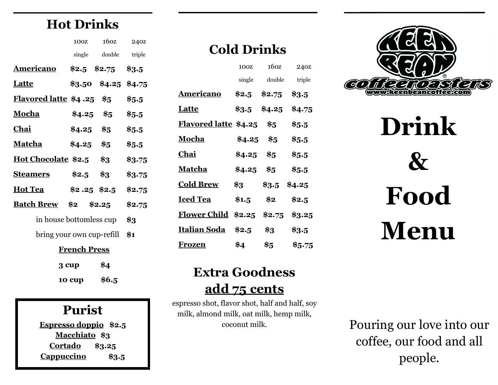# **Hot Drinks**

|                                        | 100Z                |                         | 160Z 240Z |
|----------------------------------------|---------------------|-------------------------|-----------|
|                                        |                     | single double triple    |           |
| Americano \$2.5 \$2.75 \$3.5           |                     |                         |           |
| <b>Latte</b>                           |                     | $$3.50$ $$4.25$ $$4.75$ |           |
| <b>Flavored latte \$4.25 \$5 \$5.5</b> |                     |                         |           |
| <b>Mocha</b>                           |                     | $$4.25$ \$5 \$5.5       |           |
| <u>Chai</u>                            |                     | $$4.25$ \$5             | \$5.5\$   |
| <u>Matcha</u> \$4.25 \$5               |                     |                         | \$5.5     |
| Hot Chocolate \$2.5 \$3                |                     |                         | \$3.75    |
| Steamers \$2.5 \$3                     |                     |                         | \$3.75    |
| Hot Tea \$2.25 \$2.5 \$2.75            |                     |                         |           |
| <b>Batch Brew</b> \$2 \$2.25 \$2.75    |                     |                         |           |
| in house bottomless cup $$3$           |                     |                         |           |
| bring your own cup-refill $$1$         |                     |                         |           |
|                                        | <b>French Press</b> |                         |           |
|                                        | 3 cup               | \$4                     |           |

### **Purist Espresso doppio \$2.5 Macchiato \$3 Cortado \$3.25 Cappuccino \$3.5**

**10 cup \$6.5**

## **Cold Drinks**

| 100Z                         | 160Z          | 240Z                               |
|------------------------------|---------------|------------------------------------|
| single                       | double        | triple                             |
| \$2.5                        | \$2.75        | \$3.5                              |
| $\$3.5$                      | \$4.25        | \$4.75                             |
| <u>Flavored latte</u> \$4.25 | \$5           | $\$5.5$                            |
| \$4.25                       | $\frac{1}{3}$ | \$5.5                              |
| \$4.25                       | \$5           | \$5.5                              |
| \$4.25                       | \$5           | \$5.5                              |
| \$3                          | $\$3.5$       | \$4.25                             |
| \$1.5                        | \$2           | \$2.5                              |
|                              |               | \$3.25                             |
| \$2.5                        | \$3           | \$3.5                              |
| \$4                          | \$5           | \$5.75                             |
|                              |               | <u> Flower Child</u> \$2.25 \$2.75 |



**Drink & Food Menu**

## **Extra Goodness add 75 cents**

espresso shot, flavor shot, half and half, soy milk, almond milk, oat milk, hemp milk, coconut milk.

Pouring our love into our coffee, our food and all people.